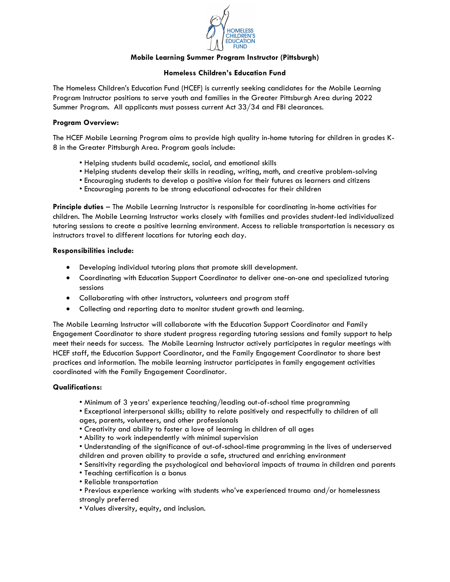

# **Mobile Learning Summer Program Instructor (Pittsburgh)**

## **Homeless Children's Education Fund**

The Homeless Children's Education Fund (HCEF) is currently seeking candidates for the Mobile Learning Program Instructor positions to serve youth and families in the Greater Pittsburgh Area during 2022 Summer Program. All applicants must possess current Act 33/34 and FBI clearances.

### **Program Overview:**

The HCEF Mobile Learning Program aims to provide high quality in-home tutoring for children in grades K-8 in the Greater Pittsburgh Area. Program goals include:

- Helping students build academic, social, and emotional skills
- Helping students develop their skills in reading, writing, math, and creative problem-solving
- Encouraging students to develop a positive vision for their futures as learners and citizens
- Encouraging parents to be strong educational advocates for their children

**Principle duties** – The Mobile Learning Instructor is responsible for coordinating in-home activities for children. The Mobile Learning Instructor works closely with families and provides student-led individualized tutoring sessions to create a positive learning environment. Access to reliable transportation is necessary as instructors travel to different locations for tutoring each day.

### **Responsibilities include:**

- Developing individual tutoring plans that promote skill development.
- Coordinating with Education Support Coordinator to deliver one-on-one and specialized tutoring sessions
- Collaborating with other instructors, volunteers and program staff
- Collecting and reporting data to monitor student growth and learning.

The Mobile Learning Instructor will collaborate with the Education Support Coordinator and Family Engagement Coordinator to share student progress regarding tutoring sessions and family support to help meet their needs for success. The Mobile Learning Instructor actively participates in regular meetings with HCEF staff, the Education Support Coordinator, and the Family Engagement Coordinator to share best practices and information. The mobile learning instructor participates in family engagement activities coordinated with the Family Engagement Coordinator.

### **Qualifications:**

- Minimum of 3 years' experience teaching/leading out-of-school time programming
- Exceptional interpersonal skills; ability to relate positively and respectfully to children of all ages, parents, volunteers, and other professionals
- Creativity and ability to foster a love of learning in children of all ages
- Ability to work independently with minimal supervision
- Understanding of the significance of out-of-school-time programming in the lives of underserved children and proven ability to provide a safe, structured and enriching environment
- Sensitivity regarding the psychological and behavioral impacts of trauma in children and parents
- Teaching certification is a bonus
- Reliable transportation
- Previous experience working with students who've experienced trauma and/or homelessness strongly preferred
- Values diversity, equity, and inclusion.